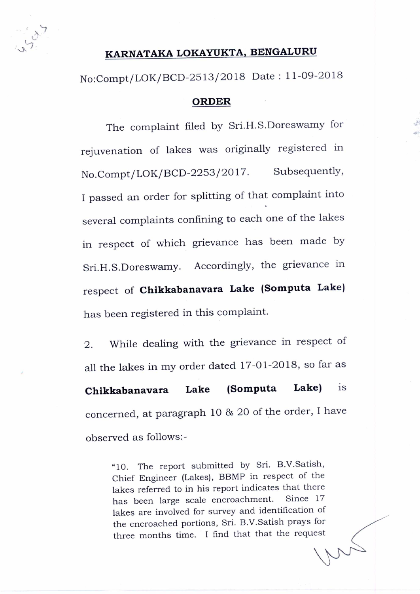

## **KARNATAKA LOKAYUKTA, BENGALURU**

No:Compt/LOK/BCD-2513/2018 Date: 11-09-2018

## **ORDER**

The complaint filed by Sri.H.S.Doreswamy for rejuvenation of lakes was originally registered in No.Compt/LOK/BCD-2253/2017. Subsequently, I passed an order for splitting of that complaint into several complaints confining to each one of the lakes in respect of which grievance has been made by Sri.H.S.Doreswamy. Accordingly, the grievance in respect of **Chikkabanavara Lake (Somputa Lake)**  has been registered in this complaint.

2. While dealing with the grievance in respect of all the lakes in my order dated 17-01-2018, so far as **Chikkabanavara Lake (Somputa Lake)** is concerned, at paragraph 10 & 20 of the order, I have observed as follows:-

> "10. The report submitted by Sri. B.V.Satish, Chief Engineer (Lakes), BBMP in respect of the lakes referred to in his report indicates that there has been large scale encroachment. Since 17 lakes are involved for survey and identification of the encroached portions, Sri. B.V.Satish prays for three months time. I find that that the request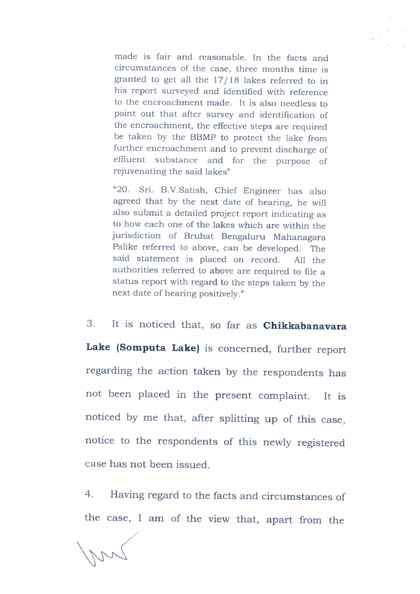made is fair and reasonable. In the facts and circumstances of the case, three months time is granted to get all the 17/18 lakes referred to in his report surveyed and identified with reference to the encroachment made. It is also needless to point out that after survey and identification of the encroachment, the effective steps are required be taken by the BBMP to protect the lake from further encroachment and to prevent discharge of effluent substance and for the purpose of rejuvenating the said lakes"

"20. Sri. B.V.Satish, Chief Engineer has also agreed that by the next date of hearing, he will also submit a detailed project report indicating as to how each one of the lakes which are within the jurisdiction of Bruhat Bengaluru Mahanagara Palike referred to above, can be developed. The said statement is placed on record. All the authorities referred to above are required to file a status report with regard to the steps taken by the next date of hearing positively."

3. It is noticed that, so far as **Chikkabanavara Lake (Somputa Lake)** is concerned, further report regarding the action taken by the respondents has not been placed in the present complaint. It is noticed by me that, after splitting up of this case, notice to the respondents of this newly registered case has not been issued.

4. Having regard to the facts and circumstances of the case, I am of the view that, apart from the